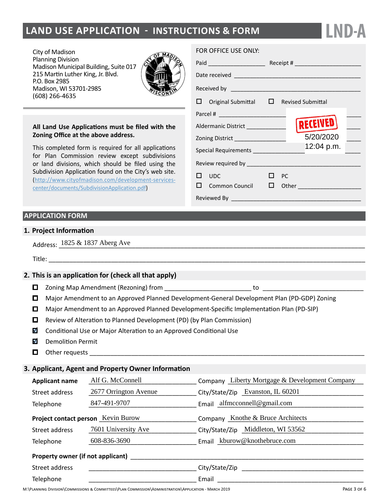# **land Use Application - instructions & form**

City of Madison Planning Division Madison Municipal Building, Suite 017 215 Martin Luther King, Jr. Blvd. P.O. Box 2985 Madison, WI 53701-2985 (608) 266-4635



### **All Land Use Applications must be filed with the Zoning Office at the above address.**

This completed form is required for all applications for Plan Commission review except subdivisions or land divisions, which should be filed using the Subdivision Application found on the City's web site. ([http://www.cityofmadison.com/development-services](http://www.cityofmadison.com/development-services-center/documents/SubdivisionApplication.pdf)[center/documents/SubdivisionApplication.pdf\)](http://www.cityofmadison.com/development-services-center/documents/SubdivisionApplication.pdf)

# **APPLICATION FORM**

## **1. Project Information**

| $1825 & 1837$ A <sup>1</sup><br>Aberg Ave<br>Address: |  |
|-------------------------------------------------------|--|
|-------------------------------------------------------|--|

Title:

## **2. This is an application for (check all that apply)**

- Zoning Map Amendment (Rezoning) from \_\_\_\_\_\_\_\_\_\_\_\_\_\_\_\_\_\_\_\_\_\_\_\_\_ to \_\_\_\_\_\_\_\_\_\_\_\_\_\_\_\_\_\_\_\_\_\_\_\_\_\_\_\_\_
- Major Amendment to an Approved Planned Development-General Development Plan (PD-GDP) Zoning
- Major Amendment to an Approved Planned Development-Specific Implementation Plan (PD-SIP)
- $\Box$  Review of Alteration to Planned Development (PD) (by Plan Commission)
- $\overline{\mathbf{v}}$ Conditional Use or Major Alteration to an Approved Conditional Use
- M Demolition Permit
- $\Box$  Other requests

# **3. Applicant, Agent and Property Owner Information**

| <b>Applicant name</b>             | Alf G. McConnell                                                                                      | Company Liberty Mortgage & Development Company |
|-----------------------------------|-------------------------------------------------------------------------------------------------------|------------------------------------------------|
| Street address                    | 2677 Orrington Avenue                                                                                 | City/State/Zip Evanston, IL 60201              |
| Telephone                         | 847-491-9707                                                                                          | Email $\alpha$ lfmcconnell@gmail.com           |
|                                   | Project contact person Kevin Burow                                                                    | Company Knothe & Bruce Architects              |
| Street address                    | 7601 University Ave                                                                                   | City/State/Zip Middleton, WI 53562             |
| Telephone                         | 608-836-3690                                                                                          | Email kburow@knothebruce.com                   |
| Property owner (if not applicant) |                                                                                                       |                                                |
| Street address                    |                                                                                                       | City/State/Zip                                 |
| Telephone                         |                                                                                                       | Email                                          |
|                                   | M.\PLANNING DIVISION\COMMISSIONS & COMMITTEFS\PLAN COMMISSION\ADMINISTRATION\APPLICATION - MARCH 2019 | PAGE 3 OF 1                                    |

#### FOR OFFICE USE ONLY:

| Received by <b>with the contract of the contract of the contract of the contract of the contract of the contract of</b> |              |  |                                    |  |
|-------------------------------------------------------------------------------------------------------------------------|--------------|--|------------------------------------|--|
| $\Box$ Original Submittal $\Box$ Revised Submittal                                                                      |              |  |                                    |  |
|                                                                                                                         |              |  |                                    |  |
| Aldermanic District ______________                                                                                      |              |  | RECEIVED                           |  |
|                                                                                                                         |              |  |                                    |  |
| Special Requirements _______________                                                                                    |              |  | 12:04 p.m.                         |  |
|                                                                                                                         |              |  |                                    |  |
| $\square$ upc                                                                                                           | $\square$ PC |  |                                    |  |
|                                                                                                                         |              |  | $\Box$ Common Council $\Box$ Other |  |
| Reviewed By ____________                                                                                                |              |  |                                    |  |

**LND-A**